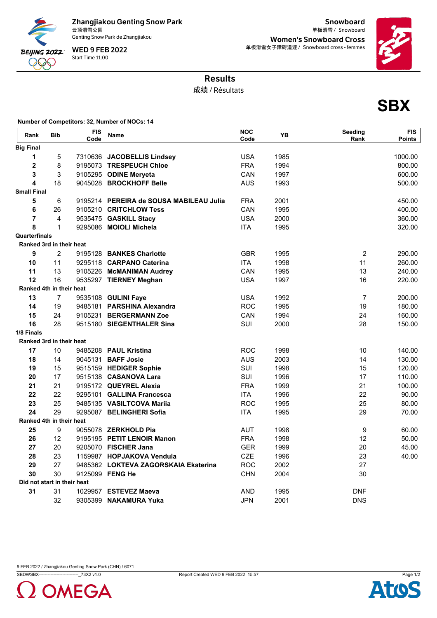

Zhangjiakou Genting Snow Park<br>云顶滑雪公园

Genting Snow Park de Zhangjiakou

Start Time 11:00 WED 9 FEB 2022

**Snowboard** 云顶滑雪公园 Snowboard 单板滑雪 / Women's Snowboard Cross 单板滑雪女子障碍追逐 / Snowboard cross - femmes



**SBX**

## Results

成绩 / Résultats

**Number of Competitors: 32, Number of NOCs: 14**

| Rank                            | <b>Bib</b>       | <b>FIS</b><br>Code | <b>Name</b>                             | <b>NOC</b><br>Code | YB   | Seeding<br>Rank | <b>FIS</b><br><b>Points</b> |
|---------------------------------|------------------|--------------------|-----------------------------------------|--------------------|------|-----------------|-----------------------------|
| <b>Big Final</b>                |                  |                    |                                         |                    |      |                 |                             |
| $\mathbf{1}$                    | 5                |                    | 7310636 JACOBELLIS Lindsey              | <b>USA</b>         | 1985 |                 | 1000.00                     |
| $\mathbf 2$                     | 8                |                    | 9195073 TRESPEUCH Chloe                 | <b>FRA</b>         | 1994 |                 | 800.00                      |
| 3                               | 3                |                    | 9105295 ODINE Meryeta                   | CAN                | 1997 |                 | 600.00                      |
| $\overline{\mathbf{4}}$         | 18               |                    | 9045028 BROCKHOFF Belle                 | <b>AUS</b>         | 1993 |                 | 500.00                      |
| <b>Small Final</b>              |                  |                    |                                         |                    |      |                 |                             |
| 5                               | 6                |                    | 9195214 PEREIRA de SOUSA MABILEAU Julia | <b>FRA</b>         | 2001 |                 | 450.00                      |
| 6                               | 26               |                    | 9105210 CRITCHLOW Tess                  | CAN                | 1995 |                 | 400.00                      |
| $\overline{7}$                  | 4                |                    | 9535475 GASKILL Stacy                   | <b>USA</b>         | 2000 |                 | 360.00                      |
| 8                               | $\mathbf{1}$     |                    | 9295086 MOIOLI Michela                  | <b>ITA</b>         | 1995 |                 | 320.00                      |
| Quarterfinals                   |                  |                    |                                         |                    |      |                 |                             |
| <b>Ranked 3rd in their heat</b> |                  |                    |                                         |                    |      |                 |                             |
| 9                               | $\overline{2}$   |                    | 9195128 BANKES Charlotte                | <b>GBR</b>         | 1995 | $\overline{2}$  | 290.00                      |
| 10                              | 11               |                    | 9295118 CARPANO Caterina                | <b>ITA</b>         | 1998 | 11              | 260.00                      |
| 11                              | 13               |                    | 9105226 McMANIMAN Audrey                | CAN                | 1995 | 13              | 240.00                      |
| 12                              | 16               |                    | 9535297 TIERNEY Meghan                  | <b>USA</b>         | 1997 | 16              | 220.00                      |
| Ranked 4th in their heat        |                  |                    |                                         |                    |      |                 |                             |
| 13                              | $\overline{7}$   |                    | 9535108 GULINI Faye                     | <b>USA</b>         | 1992 | $\overline{7}$  | 200.00                      |
| 14                              | 19               |                    | 9485181 PARSHINA Alexandra              | <b>ROC</b>         | 1995 | 19              | 180.00                      |
| 15                              | 24               |                    | 9105231 BERGERMANN Zoe                  | CAN                | 1994 | 24              | 160.00                      |
| 16                              | 28               |                    | 9515180 SIEGENTHALER Sina               | SUI                | 2000 | 28              | 150.00                      |
| 1/8 Finals                      |                  |                    |                                         |                    |      |                 |                             |
| Ranked 3rd in their heat        |                  |                    |                                         |                    |      |                 |                             |
| 17                              | 10               |                    | 9485208 PAUL Kristina                   | <b>ROC</b>         | 1998 | 10              | 140.00                      |
| 18                              | 14               |                    | 9045131 <b>BAFF Josie</b>               | <b>AUS</b>         | 2003 | 14              | 130.00                      |
| 19                              | 15               |                    | 9515159 HEDIGER Sophie                  | SUI                | 1998 | 15              | 120.00                      |
| 20                              | 17               |                    | 9515138 CASANOVA Lara                   | SUI                | 1996 | 17              | 110.00                      |
| 21                              | 21               |                    | 9195172 QUEYREL Alexia                  | <b>FRA</b>         | 1999 | 21              | 100.00                      |
| 22                              | 22               |                    | 9295101 GALLINA Francesca               | <b>ITA</b>         | 1996 | 22              | 90.00                       |
| 23                              | 25               |                    | 9485135 VASILTCOVA Mariia               | <b>ROC</b>         | 1995 | 25              | 80.00                       |
| 24                              | 29               |                    | 9295087 BELINGHERI Sofia                | <b>ITA</b>         | 1995 | 29              | 70.00                       |
| Ranked 4th in their heat        |                  |                    |                                         |                    |      |                 |                             |
| 25                              | $\boldsymbol{9}$ |                    | 9055078 ZERKHOLD Pia                    | <b>AUT</b>         | 1998 | 9               | 60.00                       |
| 26                              | 12               |                    | 9195195 PETIT LENOIR Manon              | <b>FRA</b>         | 1998 | 12              | 50.00                       |
| 27                              | 20               |                    | 9205070 FISCHER Jana                    | <b>GER</b>         | 1999 | 20              | 45.00                       |
| 28                              | 23               |                    | 1159987 HOPJAKOVA Vendula               | <b>CZE</b>         | 1996 | 23              | 40.00                       |
| 29                              | 27               |                    | 9485362 LOKTEVA ZAGORSKAIA Ekaterina    | <b>ROC</b>         | 2002 | 27              |                             |
| 30                              | 30               |                    | 9125099 FENG He                         | <b>CHN</b>         | 2004 | 30              |                             |
| Did not start in their heat     |                  |                    |                                         |                    |      |                 |                             |
| 31                              | 31               |                    | 1029957 ESTEVEZ Maeva                   | <b>AND</b>         | 1995 | <b>DNF</b>      |                             |
|                                 | 32               |                    | 9305399 NAKAMURA Yuka                   | <b>JPN</b>         | 2001 | <b>DNS</b>      |                             |